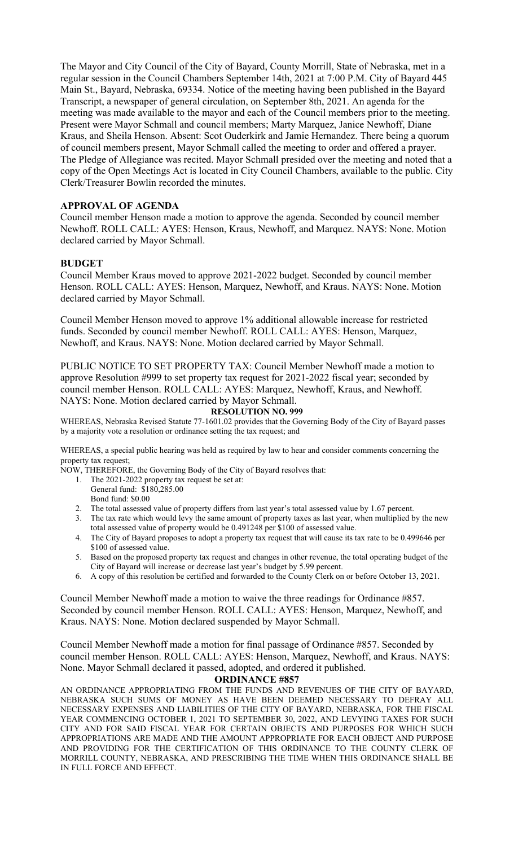The Mayor and City Council of the City of Bayard, County Morrill, State of Nebraska, met in a regular session in the Council Chambers September 14th, 2021 at 7:00 P.M. City of Bayard 445 Main St., Bayard, Nebraska, 69334. Notice of the meeting having been published in the Bayard Transcript, a newspaper of general circulation, on September 8th, 2021. An agenda for the meeting was made available to the mayor and each of the Council members prior to the meeting. Present were Mayor Schmall and council members; Marty Marquez, Janice Newhoff, Diane Kraus, and Sheila Henson. Absent: Scot Ouderkirk and Jamie Hernandez. There being a quorum of council members present, Mayor Schmall called the meeting to order and offered a prayer. The Pledge of Allegiance was recited. Mayor Schmall presided over the meeting and noted that a copy of the Open Meetings Act is located in City Council Chambers, available to the public. City Clerk/Treasurer Bowlin recorded the minutes.

# **APPROVAL OF AGENDA**

Council member Henson made a motion to approve the agenda. Seconded by council member Newhoff. ROLL CALL: AYES: Henson, Kraus, Newhoff, and Marquez. NAYS: None. Motion declared carried by Mayor Schmall.

## **BUDGET**

Council Member Kraus moved to approve 2021-2022 budget. Seconded by council member Henson. ROLL CALL: AYES: Henson, Marquez, Newhoff, and Kraus. NAYS: None. Motion declared carried by Mayor Schmall.

Council Member Henson moved to approve 1% additional allowable increase for restricted funds. Seconded by council member Newhoff. ROLL CALL: AYES: Henson, Marquez, Newhoff, and Kraus. NAYS: None. Motion declared carried by Mayor Schmall.

PUBLIC NOTICE TO SET PROPERTY TAX: Council Member Newhoff made a motion to approve Resolution #999 to set property tax request for 2021-2022 fiscal year; seconded by council member Henson. ROLL CALL: AYES: Marquez, Newhoff, Kraus, and Newhoff. NAYS: None. Motion declared carried by Mayor Schmall.

#### **RESOLUTION NO. 999**

WHEREAS, Nebraska Revised Statute 77-1601.02 provides that the Governing Body of the City of Bayard passes by a majority vote a resolution or ordinance setting the tax request; and

WHEREAS, a special public hearing was held as required by law to hear and consider comments concerning the property tax request;

NOW, THEREFORE, the Governing Body of the City of Bayard resolves that:

- 1. The 2021-2022 property tax request be set at:
- General fund: \$180,285.00 Bond fund: \$0.00
- 2. The total assessed value of property differs from last year's total assessed value by 1.67 percent.
- 3. The tax rate which would levy the same amount of property taxes as last year, when multiplied by the new total assessed value of property would be 0.491248 per \$100 of assessed value.
- 4. The City of Bayard proposes to adopt a property tax request that will cause its tax rate to be 0.499646 per \$100 of assessed value.
- 5. Based on the proposed property tax request and changes in other revenue, the total operating budget of the City of Bayard will increase or decrease last year's budget by 5.99 percent.
- 6. A copy of this resolution be certified and forwarded to the County Clerk on or before October 13, 2021.

Council Member Newhoff made a motion to waive the three readings for Ordinance #857. Seconded by council member Henson. ROLL CALL: AYES: Henson, Marquez, Newhoff, and Kraus. NAYS: None. Motion declared suspended by Mayor Schmall.

Council Member Newhoff made a motion for final passage of Ordinance #857. Seconded by council member Henson. ROLL CALL: AYES: Henson, Marquez, Newhoff, and Kraus. NAYS: None. Mayor Schmall declared it passed, adopted, and ordered it published.

**ORDINANCE #857**

AN ORDINANCE APPROPRIATING FROM THE FUNDS AND REVENUES OF THE CITY OF BAYARD, NEBRASKA SUCH SUMS OF MONEY AS HAVE BEEN DEEMED NECESSARY TO DEFRAY ALL NECESSARY EXPENSES AND LIABILITIES OF THE CITY OF BAYARD, NEBRASKA, FOR THE FISCAL YEAR COMMENCING OCTOBER 1, 2021 TO SEPTEMBER 30, 2022, AND LEVYING TAXES FOR SUCH CITY AND FOR SAID FISCAL YEAR FOR CERTAIN OBJECTS AND PURPOSES FOR WHICH SUCH APPROPRIATIONS ARE MADE AND THE AMOUNT APPROPRIATE FOR EACH OBJECT AND PURPOSE AND PROVIDING FOR THE CERTIFICATION OF THIS ORDINANCE TO THE COUNTY CLERK OF MORRILL COUNTY, NEBRASKA, AND PRESCRIBING THE TIME WHEN THIS ORDINANCE SHALL BE IN FULL FORCE AND EFFECT.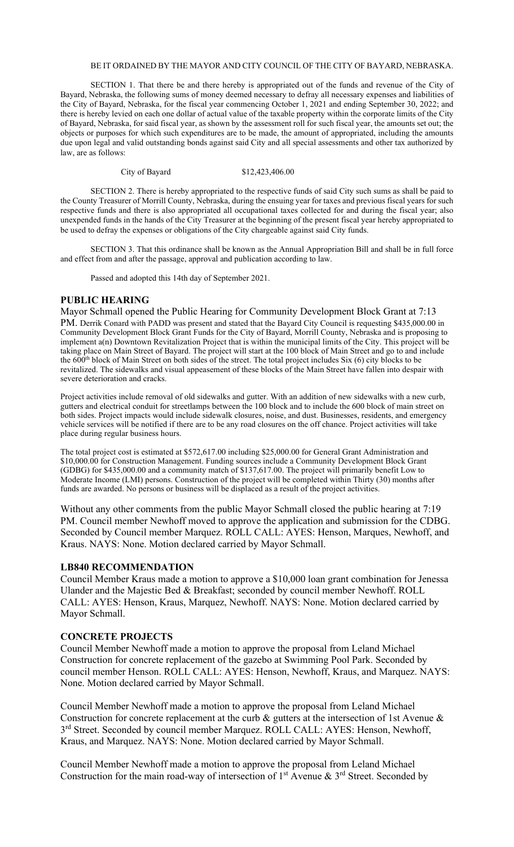#### BE IT ORDAINED BY THE MAYOR AND CITY COUNCIL OF THE CITY OF BAYARD, NEBRASKA.

SECTION 1. That there be and there hereby is appropriated out of the funds and revenue of the City of Bayard, Nebraska, the following sums of money deemed necessary to defray all necessary expenses and liabilities of the City of Bayard, Nebraska, for the fiscal year commencing October 1, 2021 and ending September 30, 2022; and there is hereby levied on each one dollar of actual value of the taxable property within the corporate limits of the City of Bayard, Nebraska, for said fiscal year, as shown by the assessment roll for such fiscal year, the amounts set out; the objects or purposes for which such expenditures are to be made, the amount of appropriated, including the amounts due upon legal and valid outstanding bonds against said City and all special assessments and other tax authorized by law, are as follows:

City of Bayard \$12,423,406.00

SECTION 2. There is hereby appropriated to the respective funds of said City such sums as shall be paid to the County Treasurer of Morrill County, Nebraska, during the ensuing year for taxes and previous fiscal years for such respective funds and there is also appropriated all occupational taxes collected for and during the fiscal year; also unexpended funds in the hands of the City Treasurer at the beginning of the present fiscal year hereby appropriated to be used to defray the expenses or obligations of the City chargeable against said City funds.

SECTION 3. That this ordinance shall be known as the Annual Appropriation Bill and shall be in full force and effect from and after the passage, approval and publication according to law.

Passed and adopted this 14th day of September 2021.

#### **PUBLIC HEARING**

Mayor Schmall opened the Public Hearing for Community Development Block Grant at 7:13 PM. Derrik Conard with PADD was present and stated that the Bayard City Council is requesting \$435,000.00 in Community Development Block Grant Funds for the City of Bayard, Morrill County, Nebraska and is proposing to implement a(n) Downtown Revitalization Project that is within the municipal limits of the City. This project will be taking place on Main Street of Bayard. The project will start at the 100 block of Main Street and go to and include the 600<sup>th</sup> block of Main Street on both sides of the street. The total project includes Six (6) city blocks to be revitalized. The sidewalks and visual appeasement of these blocks of the Main Street have fallen into despair with severe deterioration and cracks.

Project activities include removal of old sidewalks and gutter. With an addition of new sidewalks with a new curb, gutters and electrical conduit for streetlamps between the 100 block and to include the 600 block of main street on both sides. Project impacts would include sidewalk closures, noise, and dust. Businesses, residents, and emergency vehicle services will be notified if there are to be any road closures on the off chance. Project activities will take place during regular business hours.

The total project cost is estimated at \$572,617.00 including \$25,000.00 for General Grant Administration and \$10,000.00 for Construction Management. Funding sources include a Community Development Block Grant (GDBG) for \$435,000.00 and a community match of \$137,617.00. The project will primarily benefit Low to Moderate Income (LMI) persons. Construction of the project will be completed within Thirty (30) months after funds are awarded. No persons or business will be displaced as a result of the project activities.

Without any other comments from the public Mayor Schmall closed the public hearing at 7:19 PM. Council member Newhoff moved to approve the application and submission for the CDBG. Seconded by Council member Marquez. ROLL CALL: AYES: Henson, Marques, Newhoff, and Kraus. NAYS: None. Motion declared carried by Mayor Schmall.

#### **LB840 RECOMMENDATION**

Council Member Kraus made a motion to approve a \$10,000 loan grant combination for Jenessa Ulander and the Majestic Bed & Breakfast; seconded by council member Newhoff. ROLL CALL: AYES: Henson, Kraus, Marquez, Newhoff. NAYS: None. Motion declared carried by Mayor Schmall.

#### **CONCRETE PROJECTS**

Council Member Newhoff made a motion to approve the proposal from Leland Michael Construction for concrete replacement of the gazebo at Swimming Pool Park. Seconded by council member Henson. ROLL CALL: AYES: Henson, Newhoff, Kraus, and Marquez. NAYS: None. Motion declared carried by Mayor Schmall.

Council Member Newhoff made a motion to approve the proposal from Leland Michael Construction for concrete replacement at the curb & gutters at the intersection of 1st Avenue & 3<sup>rd</sup> Street. Seconded by council member Marquez. ROLL CALL: AYES: Henson, Newhoff, Kraus, and Marquez. NAYS: None. Motion declared carried by Mayor Schmall.

Council Member Newhoff made a motion to approve the proposal from Leland Michael Construction for the main road-way of intersection of  $1<sup>st</sup>$  Avenue &  $3<sup>rd</sup>$  Street. Seconded by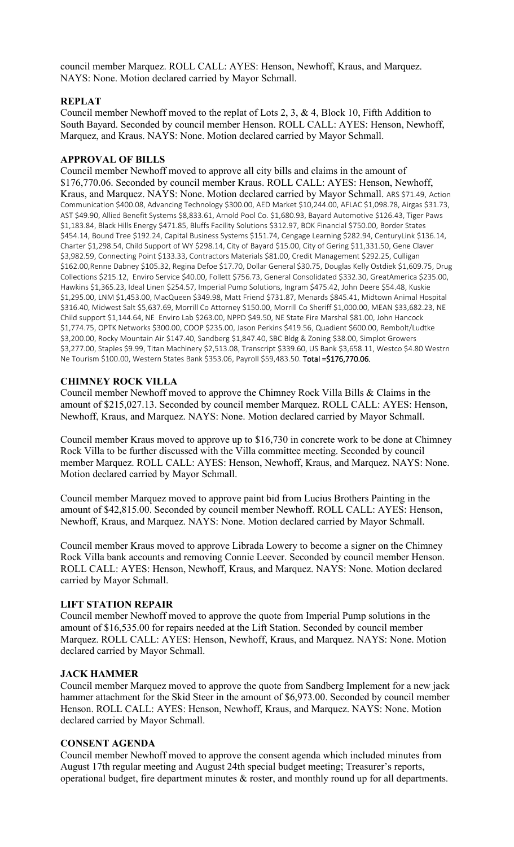council member Marquez. ROLL CALL: AYES: Henson, Newhoff, Kraus, and Marquez. NAYS: None. Motion declared carried by Mayor Schmall.

# **REPLAT**

Council member Newhoff moved to the replat of Lots 2, 3, & 4, Block 10, Fifth Addition to South Bayard. Seconded by council member Henson. ROLL CALL: AYES: Henson, Newhoff, Marquez, and Kraus. NAYS: None. Motion declared carried by Mayor Schmall.

# **APPROVAL OF BILLS**

Council member Newhoff moved to approve all city bills and claims in the amount of \$176,770.06. Seconded by council member Kraus. ROLL CALL: AYES: Henson, Newhoff, Kraus, and Marquez. NAYS: None. Motion declared carried by Mayor Schmall. ARS \$71.49, Action Communication \$400.08, Advancing Technology \$300.00, AED Market \$10,244.00, AFLAC \$1,098.78, Airgas \$31.73, AST \$49.90, Allied Benefit Systems \$8,833.61, Arnold Pool Co. \$1,680.93, Bayard Automotive \$126.43, Tiger Paws \$1,183.84, Black Hills Energy \$471.85, Bluffs Facility Solutions \$312.97, BOK Financial \$750.00, Border States \$454.14, Bound Tree \$192.24, Capital Business Systems \$151.74, Cengage Learning \$282.94, CenturyLink \$136.14, Charter \$1,298.54, Child Support of WY \$298.14, City of Bayard \$15.00, City of Gering \$11,331.50, Gene Claver \$3,982.59, Connecting Point \$133.33, Contractors Materials \$81.00, Credit Management \$292.25, Culligan \$162.00,Renne Dabney \$105.32, Regina Defoe \$17.70, Dollar General \$30.75, Douglas Kelly Ostdiek \$1,609.75, Drug Collections \$215.12, Enviro Service \$40.00, Follett \$756.73, General Consolidated \$332.30, GreatAmerica \$235.00, Hawkins \$1,365.23, Ideal Linen \$254.57, Imperial Pump Solutions, Ingram \$475.42, John Deere \$54.48, Kuskie \$1,295.00, LNM \$1,453.00, MacQueen \$349.98, Matt Friend \$731.87, Menards \$845.41, Midtown Animal Hospital \$316.40, Midwest Salt \$5,637.69, Morrill Co Attorney \$150.00, Morrill Co Sheriff \$1,000.00, MEAN \$33,682.23, NE Child support \$1,144.64, NE Enviro Lab \$263.00, NPPD \$49.50, NE State Fire Marshal \$81.00, John Hancock \$1,774.75, OPTK Networks \$300.00, COOP \$235.00, Jason Perkins \$419.56, Quadient \$600.00, Rembolt/Ludtke \$3,200.00, Rocky Mountain Air \$147.40, Sandberg \$1,847.40, SBC Bldg & Zoning \$38.00, Simplot Growers \$3,277.00, Staples \$9.99, Titan Machinery \$2,513.08, Transcript \$339.60, US Bank \$3,658.11, Westco \$4.80 Westrn Ne Tourism \$100.00, Western States Bank \$353.06, Payroll \$59,483.50. Total =\$176,770.06.

## **CHIMNEY ROCK VILLA**

Council member Newhoff moved to approve the Chimney Rock Villa Bills & Claims in the amount of \$215,027.13. Seconded by council member Marquez. ROLL CALL: AYES: Henson, Newhoff, Kraus, and Marquez. NAYS: None. Motion declared carried by Mayor Schmall.

Council member Kraus moved to approve up to \$16,730 in concrete work to be done at Chimney Rock Villa to be further discussed with the Villa committee meeting. Seconded by council member Marquez. ROLL CALL: AYES: Henson, Newhoff, Kraus, and Marquez. NAYS: None. Motion declared carried by Mayor Schmall.

Council member Marquez moved to approve paint bid from Lucius Brothers Painting in the amount of \$42,815.00. Seconded by council member Newhoff. ROLL CALL: AYES: Henson, Newhoff, Kraus, and Marquez. NAYS: None. Motion declared carried by Mayor Schmall.

Council member Kraus moved to approve Librada Lowery to become a signer on the Chimney Rock Villa bank accounts and removing Connie Leever. Seconded by council member Henson. ROLL CALL: AYES: Henson, Newhoff, Kraus, and Marquez. NAYS: None. Motion declared carried by Mayor Schmall.

## **LIFT STATION REPAIR**

Council member Newhoff moved to approve the quote from Imperial Pump solutions in the amount of \$16,535.00 for repairs needed at the Lift Station. Seconded by council member Marquez. ROLL CALL: AYES: Henson, Newhoff, Kraus, and Marquez. NAYS: None. Motion declared carried by Mayor Schmall.

## **JACK HAMMER**

Council member Marquez moved to approve the quote from Sandberg Implement for a new jack hammer attachment for the Skid Steer in the amount of \$6,973.00. Seconded by council member Henson. ROLL CALL: AYES: Henson, Newhoff, Kraus, and Marquez. NAYS: None. Motion declared carried by Mayor Schmall.

## **CONSENT AGENDA**

Council member Newhoff moved to approve the consent agenda which included minutes from August 17th regular meeting and August 24th special budget meeting; Treasurer's reports, operational budget, fire department minutes & roster, and monthly round up for all departments.